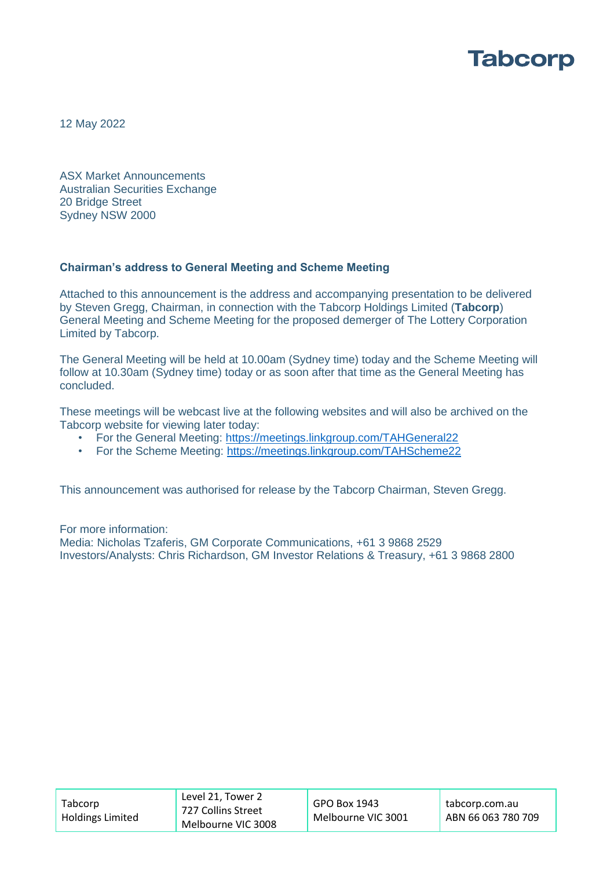

12 May 2022

ASX Market Announcements Australian Securities Exchange 20 Bridge Street Sydney NSW 2000

#### **Chairman's address to General Meeting and Scheme Meeting**

Attached to this announcement is the address and accompanying presentation to be delivered by Steven Gregg, Chairman, in connection with the Tabcorp Holdings Limited (**Tabcorp**) General Meeting and Scheme Meeting for the proposed demerger of The Lottery Corporation Limited by Tabcorp.

The General Meeting will be held at 10.00am (Sydney time) today and the Scheme Meeting will follow at 10.30am (Sydney time) today or as soon after that time as the General Meeting has concluded.

These meetings will be webcast live at the following websites and will also be archived on the Tabcorp website for viewing later today:

- For the General Meeting:<https://meetings.linkgroup.com/TAHGeneral22>
- For the Scheme Meeting:<https://meetings.linkgroup.com/TAHScheme22>

This announcement was authorised for release by the Tabcorp Chairman, Steven Gregg.

For more information: Media: Nicholas Tzaferis, GM Corporate Communications, +61 3 9868 2529 Investors/Analysts: Chris Richardson, GM Investor Relations & Treasury, +61 3 9868 2800

| Tabcorp<br>Holdings Limited | Level 21, Tower 2<br>727 Collins Street | GPO Box 1943       | tabcorp.com.au     |
|-----------------------------|-----------------------------------------|--------------------|--------------------|
|                             | Melbourne VIC 3008                      | Melbourne VIC 3001 | ABN 66 063 780 709 |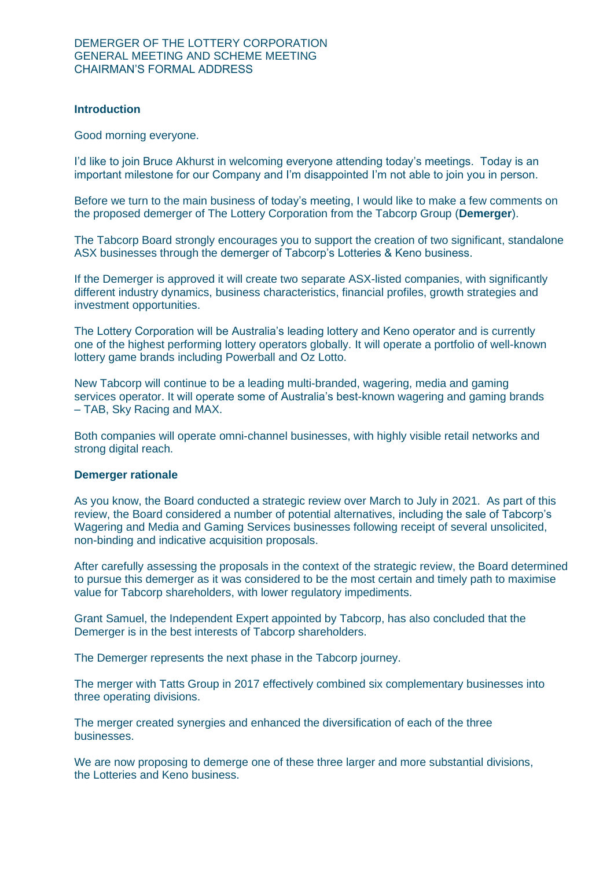#### **Introduction**

Good morning everyone.

I'd like to join Bruce Akhurst in welcoming everyone attending today's meetings. Today is an important milestone for our Company and I'm disappointed I'm not able to join you in person.

Before we turn to the main business of today's meeting, I would like to make a few comments on the proposed demerger of The Lottery Corporation from the Tabcorp Group (**Demerger**).

The Tabcorp Board strongly encourages you to support the creation of two significant, standalone ASX businesses through the demerger of Tabcorp's Lotteries & Keno business.

If the Demerger is approved it will create two separate ASX-listed companies, with significantly different industry dynamics, business characteristics, financial profiles, growth strategies and investment opportunities.

The Lottery Corporation will be Australia's leading lottery and Keno operator and is currently one of the highest performing lottery operators globally. It will operate a portfolio of well-known lottery game brands including Powerball and Oz Lotto.

New Tabcorp will continue to be a leading multi-branded, wagering, media and gaming services operator. It will operate some of Australia's best-known wagering and gaming brands – TAB, Sky Racing and MAX.

Both companies will operate omni-channel businesses, with highly visible retail networks and strong digital reach.

#### **Demerger rationale**

As you know, the Board conducted a strategic review over March to July in 2021. As part of this review, the Board considered a number of potential alternatives, including the sale of Tabcorp's Wagering and Media and Gaming Services businesses following receipt of several unsolicited, non-binding and indicative acquisition proposals.

After carefully assessing the proposals in the context of the strategic review, the Board determined to pursue this demerger as it was considered to be the most certain and timely path to maximise value for Tabcorp shareholders, with lower regulatory impediments.

Grant Samuel, the Independent Expert appointed by Tabcorp, has also concluded that the Demerger is in the best interests of Tabcorp shareholders.

The Demerger represents the next phase in the Tabcorp journey.

The merger with Tatts Group in 2017 effectively combined six complementary businesses into three operating divisions.

The merger created synergies and enhanced the diversification of each of the three businesses.

We are now proposing to demerge one of these three larger and more substantial divisions, the Lotteries and Keno business.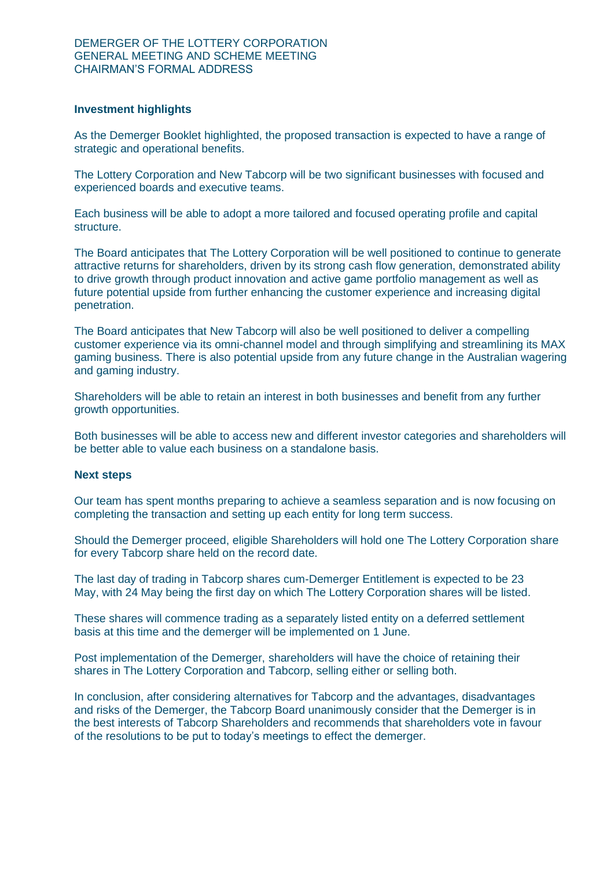#### **Investment highlights**

As the Demerger Booklet highlighted, the proposed transaction is expected to have a range of strategic and operational benefits.

The Lottery Corporation and New Tabcorp will be two significant businesses with focused and experienced boards and executive teams.

Each business will be able to adopt a more tailored and focused operating profile and capital structure.

The Board anticipates that The Lottery Corporation will be well positioned to continue to generate attractive returns for shareholders, driven by its strong cash flow generation, demonstrated ability to drive growth through product innovation and active game portfolio management as well as future potential upside from further enhancing the customer experience and increasing digital penetration.

The Board anticipates that New Tabcorp will also be well positioned to deliver a compelling customer experience via its omni-channel model and through simplifying and streamlining its MAX gaming business. There is also potential upside from any future change in the Australian wagering and gaming industry.

Shareholders will be able to retain an interest in both businesses and benefit from any further growth opportunities.

Both businesses will be able to access new and different investor categories and shareholders will be better able to value each business on a standalone basis.

#### **Next steps**

Our team has spent months preparing to achieve a seamless separation and is now focusing on completing the transaction and setting up each entity for long term success.

Should the Demerger proceed, eligible Shareholders will hold one The Lottery Corporation share for every Tabcorp share held on the record date.

The last day of trading in Tabcorp shares cum-Demerger Entitlement is expected to be 23 May, with 24 May being the first day on which The Lottery Corporation shares will be listed.

These shares will commence trading as a separately listed entity on a deferred settlement basis at this time and the demerger will be implemented on 1 June.

Post implementation of the Demerger, shareholders will have the choice of retaining their shares in The Lottery Corporation and Tabcorp, selling either or selling both.

In conclusion, after considering alternatives for Tabcorp and the advantages, disadvantages and risks of the Demerger, the Tabcorp Board unanimously consider that the Demerger is in the best interests of Tabcorp Shareholders and recommends that shareholders vote in favour of the resolutions to be put to today's meetings to effect the demerger.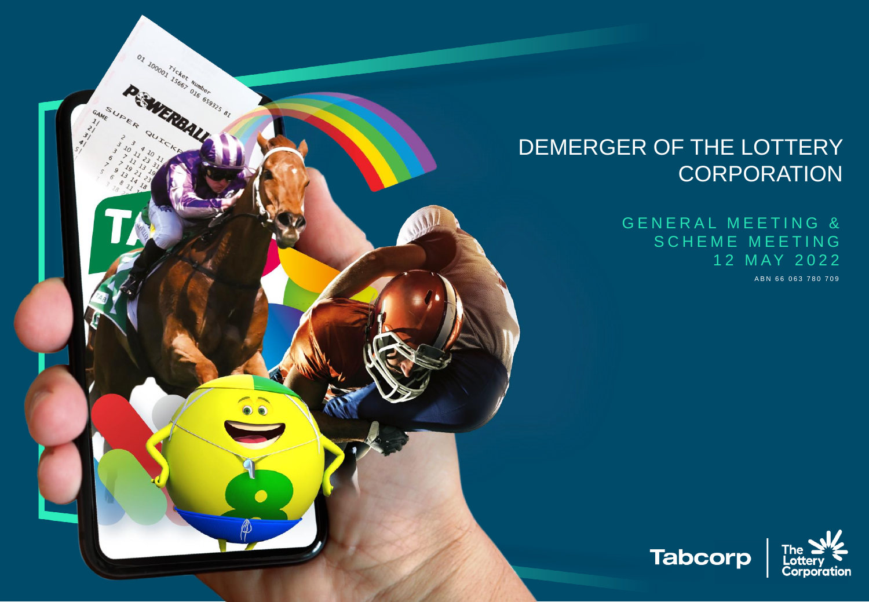### DEMERGER OF THE LOTTERY **CORPORATION**

on novembre de la Carterine de la

A B N 66 063 780 709 GENERAL MEETING & SCHEME MEETING 1 2 M AY 2 0 2 2

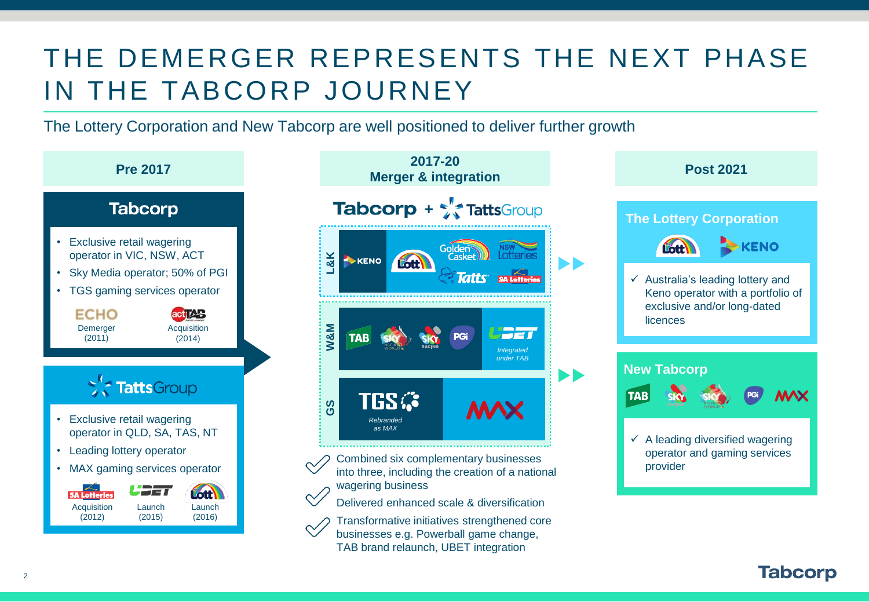## THE DEMERGER REPRESENTS THE NEXT PHASE IN THE TABCORP JOURNEY

The Lottery Corporation and New Tabcorp are well positioned to deliver further growth





Delivered enhanced scale & diversification

Transformative initiatives strengthened core businesses e.g. Powerball game change, TAB brand relaunch, UBET integration

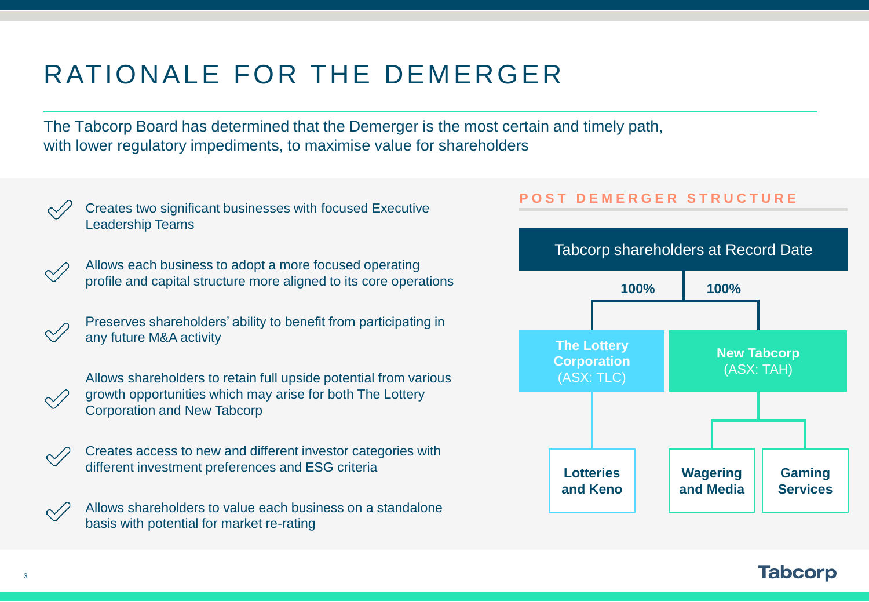# RATIONALE FOR THE DEMERGER

The Tabcorp Board has determined that the Demerger is the most certain and timely path, with lower regulatory impediments, to maximise value for shareholders



Creates two significant businesses with focused Executive Leadership Teams



- Allows each business to adopt a more focused operating profile and capital structure more aligned to its core operations
- Preserves shareholders' ability to benefit from participating in any future M&A activity



Allows shareholders to retain full upside potential from various growth opportunities which may arise for both The Lottery Corporation and New Tabcorp



Creates access to new and different investor categories with different investment preferences and ESG criteria

Allows shareholders to value each business on a standalone basis with potential for market re-rating

### **P O S T D E M E R G E R S T R U C T U R E**

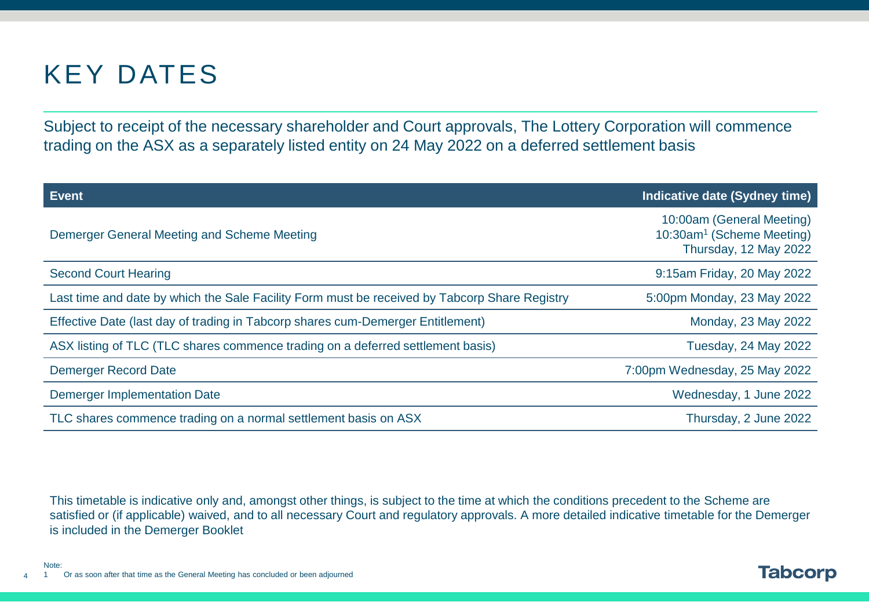## KEY DATES

Subject to receipt of the necessary shareholder and Court approvals, The Lottery Corporation will commence trading on the ASX as a separately listed entity on 24 May 2022 on a deferred settlement basis

| <b>Event</b>                                                                                  | Indicative date (Sydney time)                                                               |
|-----------------------------------------------------------------------------------------------|---------------------------------------------------------------------------------------------|
| Demerger General Meeting and Scheme Meeting                                                   | 10:00am (General Meeting)<br>10:30am <sup>1</sup> (Scheme Meeting)<br>Thursday, 12 May 2022 |
| <b>Second Court Hearing</b>                                                                   | 9:15am Friday, 20 May 2022                                                                  |
| Last time and date by which the Sale Facility Form must be received by Tabcorp Share Registry | 5:00pm Monday, 23 May 2022                                                                  |
| Effective Date (last day of trading in Tabcorp shares cum-Demerger Entitlement)               | Monday, 23 May 2022                                                                         |
| ASX listing of TLC (TLC shares commence trading on a deferred settlement basis)               | Tuesday, 24 May 2022                                                                        |
| <b>Demerger Record Date</b>                                                                   | 7:00pm Wednesday, 25 May 2022                                                               |
| <b>Demerger Implementation Date</b>                                                           | Wednesday, 1 June 2022                                                                      |
| TLC shares commence trading on a normal settlement basis on ASX                               | Thursday, 2 June 2022                                                                       |

This timetable is indicative only and, amongst other things, is subject to the time at which the conditions precedent to the Scheme are satisfied or (if applicable) waived, and to all necessary Court and regulatory approvals. A more detailed indicative timetable for the Demerger is included in the Demerger Booklet

**Tabcorp** 

4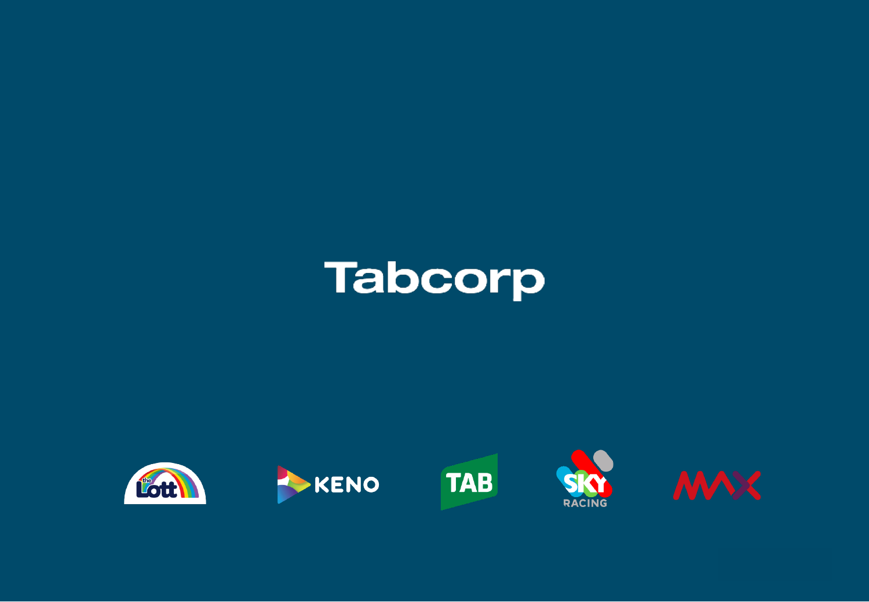